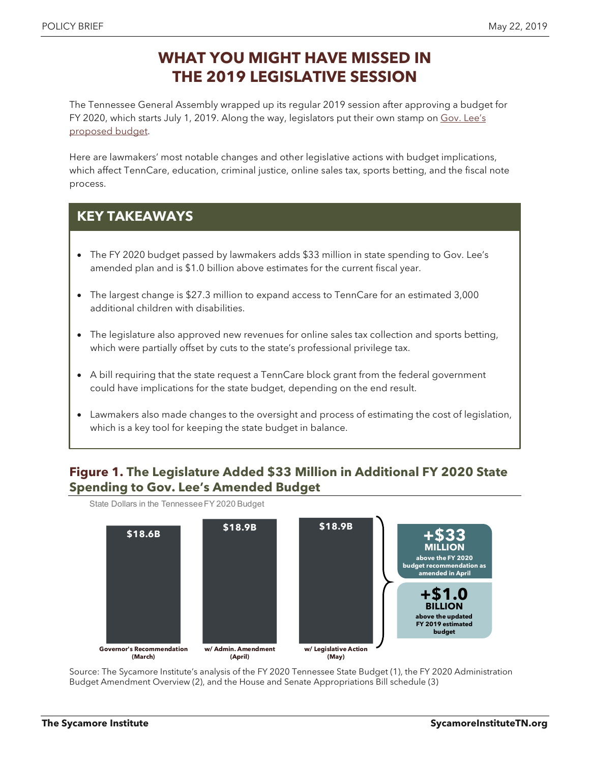# **WHAT YOU MIGHT HAVE MISSED IN THE 2019 LEGISLATIVE SESSION**

The Tennessee General Assembly wrapped up its regular 2019 session after approving a budget for FY 2020, which starts July 1, 2019. Along the way, legislators put their own stamp on Gov. Lee's [proposed](https://www.sycamoreinstitutetn.org/2019/04/22/lee-2020-budget-amendment/) budget.

Here are lawmakers' most notable changes and other legislative actions with budget implications, which affect TennCare, education, criminal justice, online sales tax, sports betting, and the fiscal note process.

## **KEY TAKEAWAYS**

- The FY 2020 budget passed by lawmakers adds \$33 million in state spending to Gov. Lee's amended plan and is \$1.0 billion above estimates for the current fiscal year.
- The largest change is \$27.3 million to expand access to TennCare for an estimated 3,000 additional children with disabilities.
- The legislature also approved new revenues for online sales tax collection and sports betting, which were partially offset by cuts to the state's professional privilege tax.
- A bill requiring that the state request a TennCare block grant from the federal government could have implications for the state budget, depending on the end result.
- Lawmakers also made changes to the oversight and process of estimating the cost of legislation, which is a key tool for keeping the state budget in balance.

### **Figure 1. The Legislature Added \$33 Million in Additional FY 2020 State Spending to Gov. Lee's Amended Budget**

**\$18.6B \$18.9B \$18.9B Governor's Recommendation (March) w/ Admin. Amendment (April) w/ Legislative Action (May) MILLION +\$33 above the FY 2020 budget recommendation as amended in April BILLION +\$1.0 above the updated FY 2019 estimated budget** State Dollars in the Tennessee FY 2020 Budget

Source: The Sycamore Institute's analysis of the FY 2020 Tennessee State Budget (1), the FY 2020 Administration Budget Amendment Overview (2), and the House and Senate Appropriations Bill schedule (3)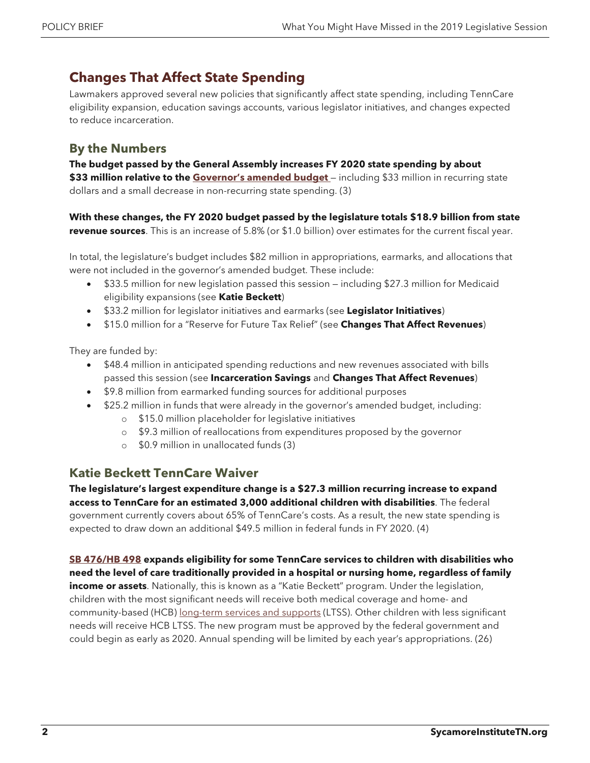## **Changes That Affect State Spending**

Lawmakers approved several new policies that significantly affect state spending, including TennCare eligibility expansion, education savings accounts, various legislator initiatives, and changes expected to reduce incarceration.

## **By the Numbers**

**The budget passed by the General Assembly increases FY 2020 state spending by about \$33 million relative to the [Governor's amended budget](https://www.sycamoreinstitutetn.org/2019/04/22/lee-2020-budget-amendment/)** — including \$33 million in recurring state dollars and a small decrease in non-recurring state spending. (3)

**With these changes, the FY 2020 budget passed by the legislature totals \$18.9 billion from state revenue sources**. This is an increase of 5.8% (or \$1.0 billion) over estimates for the current fiscal year.

In total, the legislature's budget includes \$82 million in appropriations, earmarks, and allocations that were not included in the governor's amended budget. These include:

- \$33.5 million for new legislation passed this session including \$27.3 million for Medicaid eligibility expansions (see **Katie Beckett**)
- \$33.2 million for legislator initiatives and earmarks (see **Legislator Initiatives**)
- \$15.0 million for a "Reserve for Future Tax Relief" (see **Changes That Affect Revenues**)

They are funded by:

- \$48.4 million in anticipated spending reductions and new revenues associated with bills passed this session (see **Incarceration Savings** and **Changes That Affect Revenues**)
- \$9.8 million from earmarked funding sources for additional purposes
- \$25.2 million in funds that were already in the governor's amended budget, including:
	- o \$15.0 million placeholder for legislative initiatives
	- o \$9.3 million of reallocations from expenditures proposed by the governor
	- o \$0.9 million in unallocated funds (3)

### **Katie Beckett TennCare Waiver**

**The legislature's largest expenditure change is a \$27.3 million recurring increase to expand access to TennCare for an estimated 3,000 additional children with disabilities**. The federal government currently covers about 65% of TennCare's costs. As a result, the new state spending is expected to draw down an additional \$49.5 million in federal funds in FY 2020. (4)

**[SB 476/HB 498](http://wapp.capitol.tn.gov/apps/BillInfo/Default.aspx?BillNumber=HB0498) expands eligibility for some TennCare services to children with disabilities who need the level of care traditionally provided in a hospital or nursing home, regardless of family income or assets**. Nationally, this is known as a "Katie Beckett" program. Under the legislation, children with the most significant needs will receive both medical coverage and home- and community-based (HCB) [long-term services and supports](https://www.sycamoreinstitutetn.org/2017/09/07/tenncare-long-term-services-supports/) (LTSS). Other children with less significant

needs will receive HCB LTSS. The new program must be approved by the federal government and could begin as early as 2020. Annual spending will be limited by each year's appropriations. (26)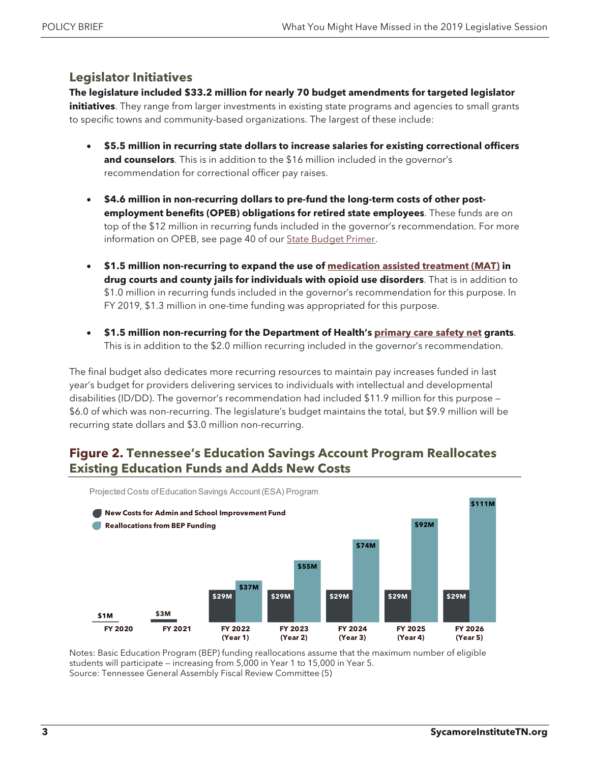#### **Legislator Initiatives**

**The legislature included \$33.2 million for nearly 70 budget amendments for targeted legislator initiatives**. They range from larger investments in existing state programs and agencies to small grants to specific towns and community-based organizations. The largest of these include:

- **\$5.5 million in recurring state dollars to increase salaries for existing correctional officers and counselors**. This is in addition to the \$16 million included in the governor's recommendation for correctional officer pay raises.
- **\$4.6 million in non-recurring dollars to pre-fund the long-term costs of other postemployment benefits (OPEB) obligations for retired state employees**. These funds are on top of the \$12 million in recurring funds included in the governor's recommendation. For more information on OPEB, see page 40 of ou[r State Budget Primer.](https://www.sycamoreinstitutetn.org/tn-budget/primer/)
- **\$1.5 million non-recurring to expand the use of [medication assisted treatment](https://www.sycamoreinstitutetn.org/2017/08/09/reducing-demand-for-opioids/) (MAT) in drug courts and county jails for individuals with opioid use disorders**. That is in addition to \$1.0 million in recurring funds included in the governor's recommendation for this purpose. In FY 2019, \$1.3 million in one-time funding was appropriated for this purpose.
- **\$1.5 million non-recurring for the Department of Health's [primary care safety net](https://www.sycamoreinstitutetn.org/2018/05/21/primary-care-safety-net/) grants**. This is in addition to the \$2.0 million recurring included in the governor's recommendation.

The final budget also dedicates more recurring resources to maintain pay increases funded in last year's budget for providers delivering services to individuals with intellectual and developmental disabilities (ID/DD). The governor's recommendation had included \$11.9 million for this purpose — \$6.0 of which was non-recurring. The legislature's budget maintains the total, but \$9.9 million will be recurring state dollars and \$3.0 million non-recurring.

### **Figure 2. Tennessee's Education Savings Account Program Reallocates Existing Education Funds and Adds New Costs**



Notes: Basic Education Program (BEP) funding reallocations assume that the maximum number of eligible students will participate — increasing from 5,000 in Year 1 to 15,000 in Year 5. Source: Tennessee General Assembly Fiscal Review Committee (5)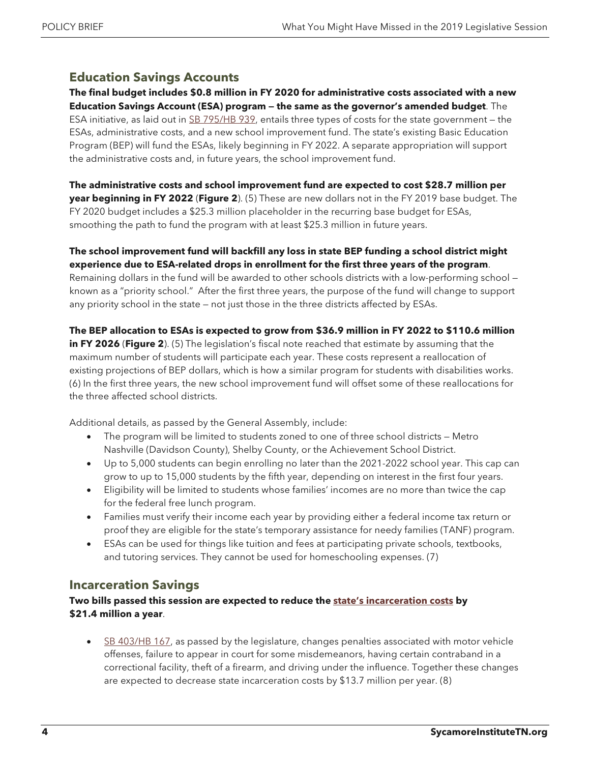### **Education Savings Accounts**

**The final budget includes \$0.8 million in FY 2020 for administrative costs associated with a new Education Savings Account (ESA) program — the same as the governor's amended budget**. The ESA initiative, as laid out in [SB 795/HB 939,](http://wapp.capitol.tn.gov/apps/BillInfo/Default.aspx?BillNumber=SB0795) entails three types of costs for the state government — the ESAs, administrative costs, and a new school improvement fund. The state's existing Basic Education Program (BEP) will fund the ESAs, likely beginning in FY 2022. A separate appropriation will support the administrative costs and, in future years, the school improvement fund.

**The administrative costs and school improvement fund are expected to cost \$28.7 million per year beginning in FY 2022** (**Figure 2**). (5) These are new dollars not in the FY 2019 base budget. The FY 2020 budget includes a \$25.3 million placeholder in the recurring base budget for ESAs, smoothing the path to fund the program with at least \$25.3 million in future years.

#### **The school improvement fund will backfill any loss in state BEP funding a school district might experience due to ESA-related drops in enrollment for the first three years of the program**.

Remaining dollars in the fund will be awarded to other schools districts with a low-performing school known as a "priority school." After the first three years, the purpose of the fund will change to support any priority school in the state — not just those in the three districts affected by ESAs.

**The BEP allocation to ESAs is expected to grow from \$36.9 million in FY 2022 to \$110.6 million in FY 2026** (**Figure 2**). (5) The legislation's fiscal note reached that estimate by assuming that the maximum number of students will participate each year. These costs represent a reallocation of existing projections of BEP dollars, which is how a similar program for students with disabilities works. (6) In the first three years, the new school improvement fund will offset some of these reallocations for the three affected school districts.

Additional details, as passed by the General Assembly, include:

- The program will be limited to students zoned to one of three school districts Metro Nashville (Davidson County), Shelby County, or the Achievement School District.
- Up to 5,000 students can begin enrolling no later than the 2021-2022 school year. This cap can grow to up to 15,000 students by the fifth year, depending on interest in the first four years.
- Eligibility will be limited to students whose families' incomes are no more than twice the cap for the federal free lunch program.
- Families must verify their income each year by providing either a federal income tax return or proof they are eligible for the state's temporary assistance for needy families (TANF) program.
- ESAs can be used for things like tuition and fees at participating private schools, textbooks, and tutoring services. They cannot be used for homeschooling expenses. (7)

#### **Incarceration Savings**

#### Two bills passed this session are expected to reduce the [state's incarceration costs](https://www.sycamoreinstitutetn.org/2019/02/14/budgeting-incarceration-tn/) by **\$21.4 million a year**.

[SB 403/HB 167,](http://wapp.capitol.tn.gov/apps/BillInfo/Default.aspx?BillNumber=HB0167) as passed by the legislature, changes penalties associated with motor vehicle offenses, failure to appear in court for some misdemeanors, having certain contraband in a correctional facility, theft of a firearm, and driving under the influence. Together these changes are expected to decrease state incarceration costs by \$13.7 million per year. (8)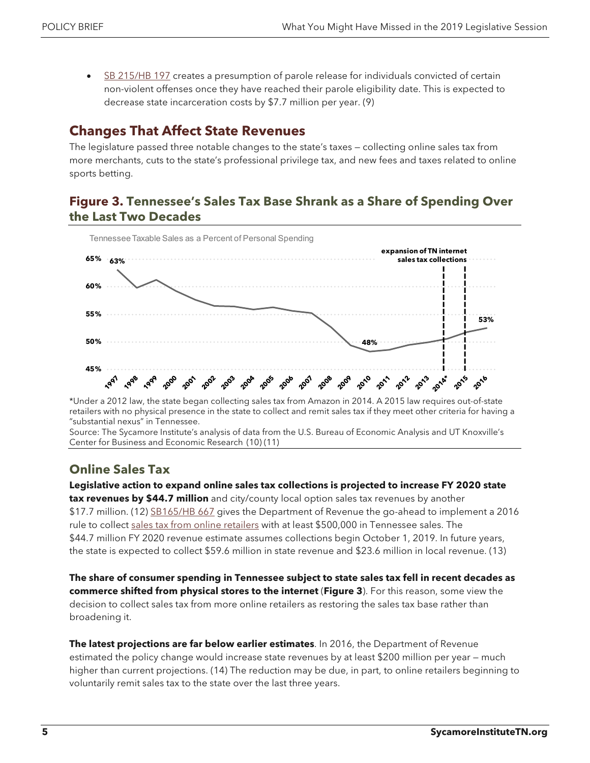• [SB 215/HB 197](http://wapp.capitol.tn.gov/apps/BillInfo/Default.aspx?BillNumber=HB0197) creates a presumption of parole release for individuals convicted of certain non-violent offenses once they have reached their parole eligibility date. This is expected to decrease state incarceration costs by \$7.7 million per year. (9)

## **Changes That Affect State Revenues**

The legislature passed three notable changes to the state's taxes — collecting online sales tax from more merchants, cuts to the state's professional privilege tax, and new fees and taxes related to online sports betting.

### **Figure 3. Tennessee's Sales Tax Base Shrank as a Share of Spending Over the Last Two Decades**



\*Under a 2012 law, the state began collecting sales tax from Amazon in 2014. A 2015 law requires out-of-state retailers with no physical presence in the state to collect and remit sales tax if they meet other criteria for having a "substantial nexus" in Tennessee.

Source: The Sycamore Institute's analysis of data from the U.S. Bureau of Economic Analysis and UT Knoxville's Center for Business and Economic Research (10) (11)

## **Online Sales Tax**

**Legislative action to expand online sales tax collections is projected to increase FY 2020 state tax revenues by \$44.7 million** and city/county local option sales tax revenues by another \$17.7 million. (12) [SB165/HB 667](http://wapp.capitol.tn.gov/apps/BillInfo/Default.aspx?BillNumber=HB0667) gives the Department of Revenue the go-ahead to implement a 2016 rule to collect [sales tax from online retailers](https://www.sycamoreinstitutetn.org/2018/11/01/5-issues-for-tennessees-next-governor/) with at least \$500,000 in Tennessee sales. The \$44.7 million FY 2020 revenue estimate assumes collections begin October 1, 2019. In future years, the state is expected to collect \$59.6 million in state revenue and \$23.6 million in local revenue. (13)

**The share of consumer spending in Tennessee subject to state sales tax fell in recent decades as commerce shifted from physical stores to the internet** (**Figure 3**). For this reason, some view the decision to collect sales tax from more online retailers as restoring the sales tax base rather than broadening it.

**The latest projections are far below earlier estimates**. In 2016, the Department of Revenue estimated the policy change would increase state revenues by at least \$200 million per year — much higher than current projections. (14) The reduction may be due, in part, to online retailers beginning to voluntarily remit sales tax to the state over the last three years.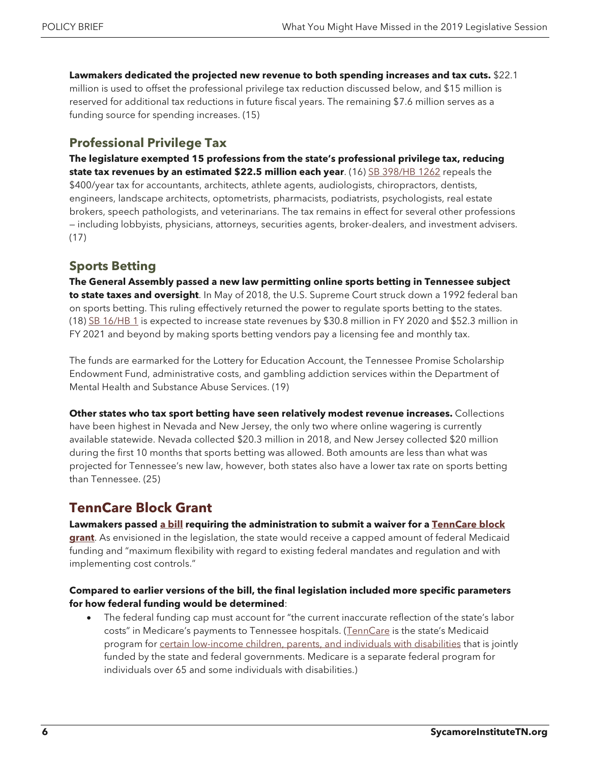**Lawmakers dedicated the projected new revenue to both spending increases and tax cuts.** \$22.1 million is used to offset the professional privilege tax reduction discussed below, and \$15 million is reserved for additional tax reductions in future fiscal years. The remaining \$7.6 million serves as a funding source for spending increases. (15)

### **Professional Privilege Tax**

**The legislature exempted 15 professions from the state's professional privilege tax, reducing state tax revenues by an estimated \$22.5 million each year**. (16) [SB 398/HB 1262](http://wapp.capitol.tn.gov/apps/BillInfo/Default.aspx?BillNumber=HB1262) repeals the \$400/year tax for accountants, architects, athlete agents, audiologists, chiropractors, dentists, engineers, landscape architects, optometrists, pharmacists, podiatrists, psychologists, real estate brokers, speech pathologists, and veterinarians. The tax remains in effect for several other professions — including lobbyists, physicians, attorneys, securities agents, broker-dealers, and investment advisers. (17)

## **Sports Betting**

**The General Assembly passed a new law permitting online sports betting in Tennessee subject to state taxes and oversight**. In May of 2018, the U.S. Supreme Court struck down a 1992 federal ban on sports betting. This ruling effectively returned the power to regulate sports betting to the states. (18) [SB 16/HB 1](http://wapp.capitol.tn.gov/apps/BillInfo/Default.aspx?BillNumber=HB0001) is expected to increase state revenues by \$30.8 million in FY 2020 and \$52.3 million in FY 2021 and beyond by making sports betting vendors pay a licensing fee and monthly tax.

The funds are earmarked for the Lottery for Education Account, the Tennessee Promise Scholarship Endowment Fund, administrative costs, and gambling addiction services within the Department of Mental Health and Substance Abuse Services. (19)

**Other states who tax sport betting have seen relatively modest revenue increases.** Collections have been highest in Nevada and New Jersey, the only two where online wagering is currently available statewide. Nevada collected \$20.3 million in 2018, and New Jersey collected \$20 million during the first 10 months that sports betting was allowed. Both amounts are less than what was projected for Tennessee's new law, however, both states also have a lower tax rate on sports betting than Tennessee. (25)

## **TennCare Block Grant**

**Lawmakers passed [a bill](http://wapp.capitol.tn.gov/apps/BillInfo/Default.aspx?BillNumber=HB1280) requiring the administration to submit a waiver for a [TennCare block](https://www.sycamoreinstitutetn.org/2019/04/05/medicaid-block-grant-details-matter/)** 

**[grant](https://www.sycamoreinstitutetn.org/2019/04/05/medicaid-block-grant-details-matter/)**. As envisioned in the legislation, the state would receive a capped amount of federal Medicaid funding and "maximum flexibility with regard to existing federal mandates and regulation and with implementing cost controls."

#### **Compared to earlier versions of the bill, the final legislation included more specific parameters for how federal funding would be determined**:

• The federal funding cap must account for "the current inaccurate reflection of the state's labor costs" in Medicare's payments to Tennessee hospitals. [\(TennCare](https://www.sycamoreinstitutetn.org/2017/06/01/what-is-tenncare/) is the state's Medicaid program for [certain low-income children, parents,](https://www.sycamoreinstitutetn.org/2017/08/30/medicaid-eligibility-tennessee/) and individuals with disabilities that is jointly funded by the state and federal governments. Medicare is a separate federal program for individuals over 65 and some individuals with disabilities.)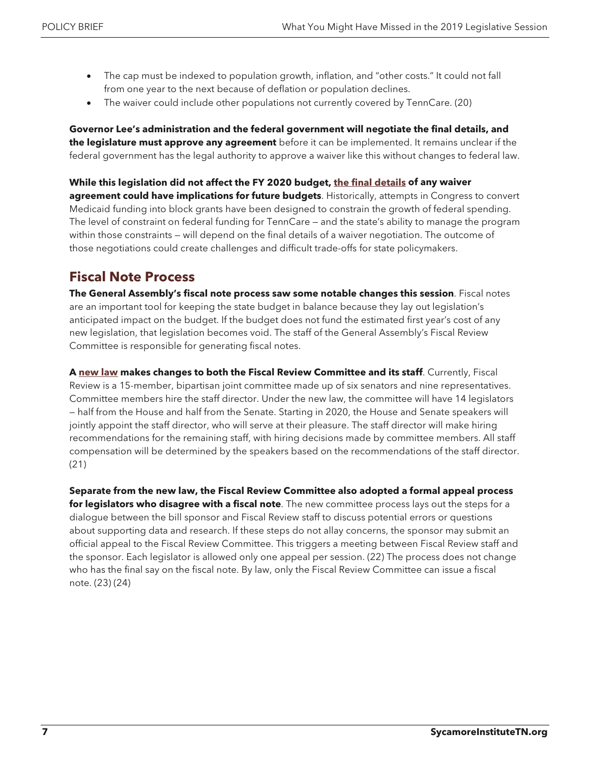- The cap must be indexed to population growth, inflation, and "other costs." It could not fall from one year to the next because of deflation or population declines.
- The waiver could include other populations not currently covered by TennCare. (20)

**Governor Lee's administration and the federal government will negotiate the final details, and the legislature must approve any agreement** before it can be implemented. It remains unclear if the federal government has the legal authority to approve a waiver like this without changes to federal law.

#### **While this legislation did not affect the FY 2020 budget[, the final details](https://www.sycamoreinstitutetn.org/2019/04/05/medicaid-block-grant-details-matter/) of any waiver**

**agreement could have implications for future budgets**. Historically, attempts in Congress to convert Medicaid funding into block grants have been designed to constrain the growth of federal spending. The level of constraint on federal funding for TennCare — and the state's ability to manage the program within those constraints — will depend on the final details of a waiver negotiation. The outcome of those negotiations could create challenges and difficult trade-offs for state policymakers.

## **Fiscal Note Process**

**The General Assembly's fiscal note process saw some notable changes this session**. Fiscal notes are an important tool for keeping the state budget in balance because they lay out legislation's anticipated impact on the budget. If the budget does not fund the estimated first year's cost of any new legislation, that legislation becomes void. The staff of the General Assembly's Fiscal Review Committee is responsible for generating fiscal notes.

**A [new law](http://wapp.capitol.tn.gov/apps/BillInfo/Default.aspx?BillNumber=HB1233) makes changes to both the Fiscal Review Committee and its staff**. Currently, Fiscal Review is a 15-member, bipartisan joint committee made up of six senators and nine representatives. Committee members hire the staff director. Under the new law, the committee will have 14 legislators — half from the House and half from the Senate. Starting in 2020, the House and Senate speakers will jointly appoint the staff director, who will serve at their pleasure. The staff director will make hiring recommendations for the remaining staff, with hiring decisions made by committee members. All staff compensation will be determined by the speakers based on the recommendations of the staff director. (21)

**Separate from the new law, the Fiscal Review Committee also adopted a formal appeal process for legislators who disagree with a fiscal note**. The new committee process lays out the steps for a dialogue between the bill sponsor and Fiscal Review staff to discuss potential errors or questions about supporting data and research. If these steps do not allay concerns, the sponsor may submit an official appeal to the Fiscal Review Committee. This triggers a meeting between Fiscal Review staff and the sponsor. Each legislator is allowed only one appeal per session. (22) The process does not change who has the final say on the fiscal note. By law, only the Fiscal Review Committee can issue a fiscal note. (23) (24)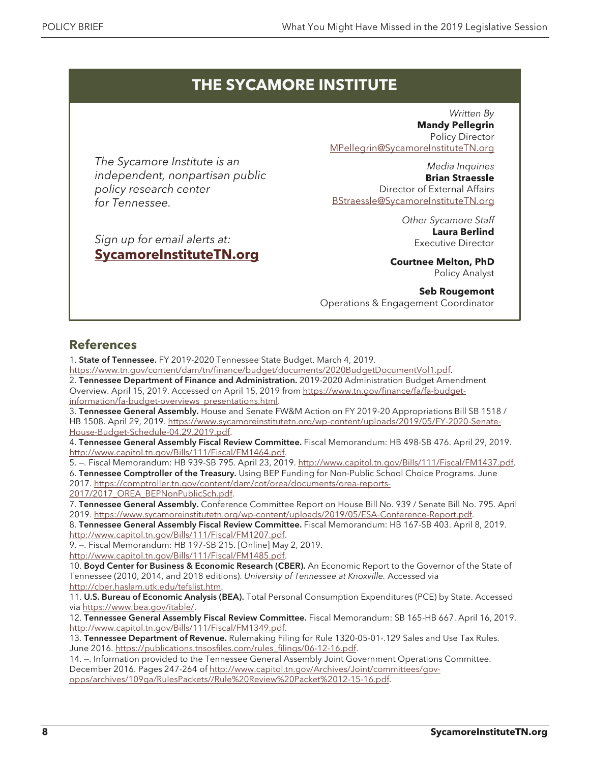# **THE SYCAMORE INSTITUTE**

*The Sycamore Institute is an independent, nonpartisan public policy research center for Tennessee.*

*Sign up for email alerts at:* **[SycamoreInstituteTN.org](http://www.sycamoreinstitutetn.org/)**

*Written By* **Mandy Pellegrin** Policy Director [MPellegrin@SycamoreInstituteTN.org](mailto:MPellegrin@SycamoreInstituteTN.org)

*Media Inquiries* **Brian Straessle** Director of External Affairs [BStraessle@SycamoreInstituteTN.org](mailto:BStraessle@SycamoreInstituteTN.org)

> *Other Sycamore Staff* **Laura Berlind** Executive Director

**Courtnee Melton, PhD** Policy Analyst

**Seb Rougemont** Operations & Engagement Coordinator

## **References**

1. State of Tennessee. FY 2019-2020 Tennessee State Budget. March 4, 2019.

[https://www.tn.gov/content/dam/tn/finance/budget/documents/2020BudgetDocumentVol1.pdf.](https://www.tn.gov/content/dam/tn/finance/budget/documents/2020BudgetDocumentVol1.pdf)

2. Tennessee Department of Finance and Administration. 2019-2020 Administration Budget Amendment Overview. April 15, 2019. Accessed on April 15, 2019 fro[m https://www.tn.gov/finance/fa/fa-budget](https://www.tn.gov/finance/fa/fa-budget-information/fa-budget-overviews_presentations.html)[information/fa-budget-overviews\\_presentations.html.](https://www.tn.gov/finance/fa/fa-budget-information/fa-budget-overviews_presentations.html)

3. Tennessee General Assembly. House and Senate FW&M Action on FY 2019-20 Appropriations Bill SB 1518 / HB 1508. April 29, 2019[. https://www.sycamoreinstitutetn.org/wp-content/uploads/2019/05/FY-2020-Senate-](https://www.sycamoreinstitutetn.org/wp-content/uploads/2019/05/FY-2020-Senate-House-Budget-Schedule-04.29.2019.pdf)[House-Budget-Schedule-04.29.2019.pdf.](https://www.sycamoreinstitutetn.org/wp-content/uploads/2019/05/FY-2020-Senate-House-Budget-Schedule-04.29.2019.pdf) 

4. Tennessee General Assembly Fiscal Review Committee. Fiscal Memorandum: HB 498-SB 476. April 29, 2019. [http://www.capitol.tn.gov/Bills/111/Fiscal/FM1464.pdf.](http://www.capitol.tn.gov/Bills/111/Fiscal/FM1464.pdf)

5. - Fiscal Memorandum: HB 939-SB 795. April 23, 2019[. http://www.capitol.tn.gov/Bills/111/Fiscal/FM1437.pdf.](http://www.capitol.tn.gov/Bills/111/Fiscal/FM1437.pdf) 6. Tennessee Comptroller of the Treasury. Using BEP Funding for Non-Public School Choice Programs. June

2017[. https://comptroller.tn.gov/content/dam/cot/orea/documents/orea-reports-](https://comptroller.tn.gov/content/dam/cot/orea/documents/orea-reports-2017/2017_OREA_BEPNonPublicSch.pdf)

[2017/2017\\_OREA\\_BEPNonPublicSch.pdf.](https://comptroller.tn.gov/content/dam/cot/orea/documents/orea-reports-2017/2017_OREA_BEPNonPublicSch.pdf)

7. Tennessee General Assembly. Conference Committee Report on House Bill No. 939 / Senate Bill No. 795. April 2019[. https://www.sycamoreinstitutetn.org/wp-content/uploads/2019/05/ESA-Conference-Report.pdf.](https://www.sycamoreinstitutetn.org/wp-content/uploads/2019/05/ESA-Conference-Report.pdf)

8. Tennessee General Assembly Fiscal Review Committee. Fiscal Memorandum: HB 167-SB 403. April 8, 2019. [http://www.capitol.tn.gov/Bills/111/Fiscal/FM1207.pdf.](http://www.capitol.tn.gov/Bills/111/Fiscal/FM1207.pdf)

9. —. Fiscal Memorandum: HB 197-SB 215. [Online] May 2, 2019. [http://www.capitol.tn.gov/Bills/111/Fiscal/FM1485.pdf.](http://www.capitol.tn.gov/Bills/111/Fiscal/FM1485.pdf)

10. Boyd Center for Business & Economic Research (CBER). An Economic Report to the Governor of the State of Tennessee (2010, 2014, and 2018 editions). *University of Tennessee at Knoxville.* Accessed via [http://cber.haslam.utk.edu/tefslist.htm.](http://cber.haslam.utk.edu/tefslist.htm)

11. U.S. Bureau of Economic Analysis (BEA). Total Personal Consumption Expenditures (PCE) by State. Accessed vi[a https://www.bea.gov/itable/.](https://www.bea.gov/itable/)

12. Tennessee General Assembly Fiscal Review Committee. Fiscal Memorandum: SB 165-HB 667. April 16, 2019. [http://www.capitol.tn.gov/Bills/111/Fiscal/FM1349.pdf.](http://www.capitol.tn.gov/Bills/111/Fiscal/FM1349.pdf)

13. Tennessee Department of Revenue. Rulemaking Filing for Rule 1320-05-01-.129 Sales and Use Tax Rules. June 2016. [https://publications.tnsosfiles.com/rules\\_filings/06-12-16.pdf.](https://publications.tnsosfiles.com/rules_filings/06-12-16.pdf)

14. —. Information provided to the Tennessee General Assembly Joint Government Operations Committee. December 2016. Pages 247-264 o[f http://www.capitol.tn.gov/Archives/Joint/committees/gov](http://www.capitol.tn.gov/Archives/Joint/committees/gov-opps/archives/109ga/RulesPackets/Rule%20Review%20Packet%2012-15-16.pdf)[opps/archives/109ga/RulesPackets//Rule%20Review%20Packet%2012-15-16.pdf.](http://www.capitol.tn.gov/Archives/Joint/committees/gov-opps/archives/109ga/RulesPackets/Rule%20Review%20Packet%2012-15-16.pdf)